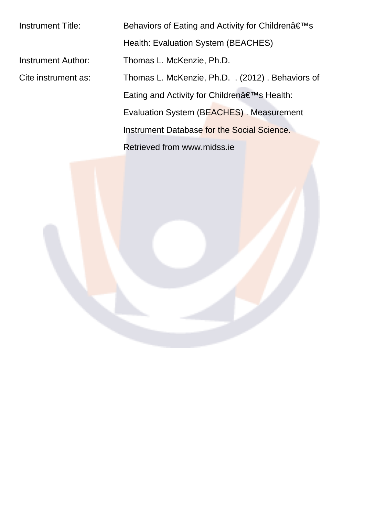Instrument Title: Behaviors of Eating and Activity for Childrenâ€<sup>™</sup>s Health: Evaluation System (BEACHES) Instrument Author: Thomas L. McKenzie, Ph.D. Cite instrument as: Thomas L. McKenzie, Ph.D. . (2012) . Behaviors of Eating and Activity for Children's Health: Evaluation System (BEACHES) . Measurement Instrument Database for the Social Science. Retrieved from www.midss.ie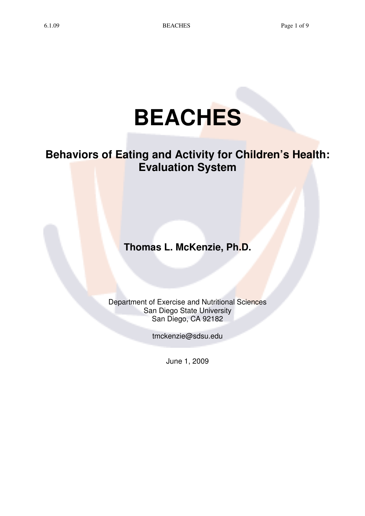# **BEACHES**

# **Behaviors of Eating and Activity for Children's Health: Evaluation System**

**Thomas L. McKenzie, Ph.D.** 

Department of Exercise and Nutritional Sciences San Diego State University San Diego, CA 92182

tmckenzie@sdsu.edu

June 1, 2009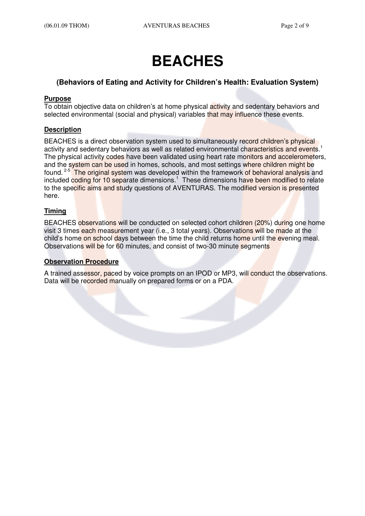# **BEACHES**

#### **(Behaviors of Eating and Activity for Children's Health: Evaluation System)**

#### **Purpose**

To obtain objective data on children's at home physical activity and sedentary behaviors and selected environmental (social and physical) variables that may influence these events.

#### **Description**

BEACHES is a direct observation system used to simultaneously record children's physical activity and sedentary behaviors as well as related environmental characteristics and events.<sup>1</sup> The physical activity codes have been validated using heart rate monitors and accelerometers, and the system can be used in homes, schools, and most settings where children might be found. <sup>2-5</sup> The original system was developed within the framework of behavioral analysis and included coding for 10 separate dimensions.<sup>1</sup> These dimensions have been modified to relate to the specific aims and study questions of AVENTURAS. The modified version is presented here.

#### **Timing**

BEACHES observations will be conducted on selected cohort children (20%) during one home visit 3 times each measurement year (i.e., 3 total years). Observations will be made at the child's home on school days between the time the child returns home until the evening meal. Observations will be for 60 minutes, and consist of two-30 minute segments

#### **Observation Procedure**

A trained assessor, paced by voice prompts on an IPOD or MP3, will conduct the observations. Data will be recorded manually on prepared forms or on a PDA.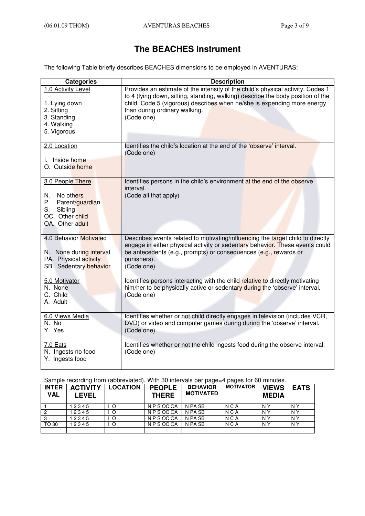### **The BEACHES Instrument**

The following Table briefly describes BEACHES dimensions to be employed in AVENTURAS:

| <b>Categories</b>                                                                                                   | <b>Description</b>                                                                                                                                                                                                                                                                           |
|---------------------------------------------------------------------------------------------------------------------|----------------------------------------------------------------------------------------------------------------------------------------------------------------------------------------------------------------------------------------------------------------------------------------------|
| 1.0 Activity Level<br>1. Lying down<br>2. Sitting<br>3. Standing<br>4. Walking<br>5. Vigorous                       | Provides an estimate of the intensity of the child's physical activity. Codes 1<br>to 4 (lying down, sitting, standing, walking) describe the body position of the<br>child. Code 5 (vigorous) describes when he/she is expending more energy<br>than during ordinary walking.<br>(Code one) |
| 2.0 Location<br>I. Inside home<br>O. Outside home                                                                   | Identifies the child's location at the end of the 'observe' interval.<br>(Code one)                                                                                                                                                                                                          |
| 3.0 People There<br>N.<br>No others<br>Р.<br>Parent/guardian<br>Sibling<br>S.<br>OC. Other child<br>OA. Other adult | Identifies persons in the child's environment at the end of the observe<br>interval.<br>(Code all that apply)                                                                                                                                                                                |
| <b>4.0 Behavior Motivated</b><br>N. None during interval<br>PA. Physical activity<br>SB. Sedentary behavior         | Describes events related to motivating/influencing the target child to directly<br>engage in either physical activity or sedentary behavior. These events could<br>be antecedents (e.g., prompts) or consequences (e.g., rewards or<br>punishers).<br>(Code one)                             |
| 5.0 Motivator<br>N. None<br>C. Child<br>A. Adult                                                                    | Identifies persons interacting with the child relative to directly motivating<br>him/her to be physically active or sedentary during the 'observe' interval.<br>(Code one)                                                                                                                   |
| 6.0 Views Media<br>N. No<br>Y. Yes                                                                                  | Identifies whether or not child directly engages in television (includes VCR,<br>DVD) or video and computer games during during the 'observe' interval.<br>(Code one)                                                                                                                        |
| 7.0 Eats<br>N. Ingests no food<br>Y. Ingests food                                                                   | Identifies whether or not the child ingests food during the observe interval.<br>(Code one)                                                                                                                                                                                                  |

Sample recording from (abbreviated). With 30 intervals per page=4 pages for 60 minutes.

| <b>INTER</b><br><b>VAL</b> | <b>ACTIVITY</b><br><b>LEVEL</b> | <b>LOCATION</b> | <b>PEOPLE</b><br><b>THERE</b> | <b>BEHAVIOR</b><br><b>MOTIVATED</b> | <b>MOTIVATOR</b> | <b>VIEWS</b><br><b>MEDIA</b> | <b>EATS</b>    |
|----------------------------|---------------------------------|-----------------|-------------------------------|-------------------------------------|------------------|------------------------------|----------------|
|                            | 12345                           |                 | N P S OC OA                   | N PA SB                             | N C A            | N Y                          | N Y            |
| 2                          | 12345                           | $\circ$         | N P S OC OA                   | N PA SB                             | N <sub>C</sub> A | N Y                          | N Y            |
|                            | 12345                           | $\circ$         | N P S OC OA                   | N PA SB                             | N <sub>C</sub> A | N <sub>Y</sub>               | N <sub>Y</sub> |
| TO 30                      | 12345                           | O               | N P S OC OA                   | N PA SB                             | N C A            | N Y                          | N Y            |
|                            |                                 |                 |                               |                                     |                  |                              |                |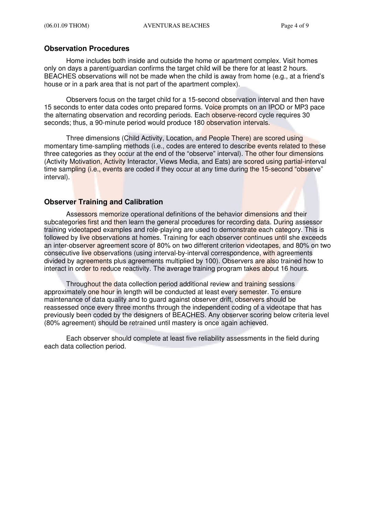#### **Observation Procedures**

Home includes both inside and outside the home or apartment complex. Visit homes only on days a parent/guardian confirms the target child will be there for at least 2 hours. BEACHES observations will not be made when the child is away from home (e.g., at a friend's house or in a park area that is not part of the apartment complex).

Observers focus on the target child for a 15-second observation interval and then have 15 seconds to enter data codes onto prepared forms. Voice prompts on an IPOD or MP3 pace the alternating observation and recording periods. Each observe-record cycle requires 30 seconds; thus, a 90-minute period would produce 180 observation intervals.

Three dimensions (Child Activity, Location, and People There) are scored using momentary time-sampling methods (i.e., codes are entered to describe events related to these three categories as they occur at the end of the "observe" interval). The other four dimensions (Activity Motivation, Activity Interactor, Views Media, and Eats) are scored using partial-interval time sampling (i.e., events are coded if they occur at any time during the 15-second "observe" interval).

#### **Observer Training and Calibration**

Assessors memorize operational definitions of the behavior dimensions and their subcategories first and then learn the general procedures for recording data. During assessor training videotaped examples and role-playing are used to demonstrate each category. This is followed by live observations at homes. Training for each observer continues until she exceeds an inter-observer agreement score of 80% on two different criterion videotapes, and 80% on two consecutive live observations (using interval-by-interval correspondence, with agreements divided by agreements plus agreements multiplied by 100). Observers are also trained how to interact in order to reduce reactivity. The average training program takes about 16 hours.

Throughout the data collection period additional review and training sessions approximately one hour in length will be conducted at least every semester. To ensure maintenance of data quality and to guard against observer drift, observers should be reassessed once every three months through the independent coding of a videotape that has previously been coded by the designers of BEACHES. Any observer scoring below criteria level (80% agreement) should be retrained until mastery is once again achieved.

Each observer should complete at least five reliability assessments in the field during each data collection period.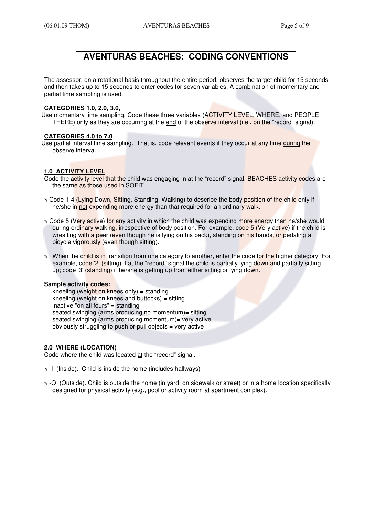## **AVENTURAS BEACHES: CODING CONVENTIONS**

The assessor, on a rotational basis throughout the entire period, observes the target child for 15 seconds and then takes up to 15 seconds to enter codes for seven variables. A combination of momentary and partial time sampling is used.

#### **CATEGORIES 1.0, 2.0, 3.0,**

Use momentary time sampling. Code these three variables (ACTIVITY LEVEL, WHERE, and PEOPLE THERE) only as they are occurring at the end of the observe interval (i.e., on the "record" signal).

#### **CATEGORIES 4.0 to 7.0**

Use partial interval time sampling. That is, code relevant events if they occur at any time during the observe interval.

#### **1.0 ACTIVITY LEVEL**

- Code the activity level that the child was engaging in at the "record" signal. BEACHES activity codes are the same as those used in SOFIT.
- √ Code 1-4 (Lying Down, Sitting, Standing, Walking) to describe the body position of the child only if he/she in not expending more energy than that required for an ordinary walk.
- √ Code 5 (Very active) for any activity in which the child was expending more energy than he/she would during ordinary walking, irrespective of body position. For example, code 5 (Very active) if the child is wrestling with a peer (even though he is lying on his back), standing on his hands, or pedaling a bicycle vigorously (even though sitting).
- √ When the child is in transition from one category to another, enter the code for the higher category. For example, code '2' (sitting) if at the "record" signal the child is partially lying down and partially sitting up; code '3' (standing) if he/she is getting up from either sitting or lying down.

#### **Sample activity codes:**

kneeling (weight on knees only) = standing kneeling (weight on knees and buttocks) = sitting inactive "on all fours" = standing seated swinging (arms producing no momentum)= sitting seated swinging (arms producing momentum)= very active obviously struggling to push or pull objects = very active

#### **2.0 WHERE (LOCATION)**

Code where the child was located at the "record" signal.

- $\sqrt{-1}$  (Inside). Child is inside the home (includes hallways)
- √ -O (Outside). Child is outside the home (in yard; on sidewalk or street) or in a home location specifically designed for physical activity (e.g., pool or activity room at apartment complex).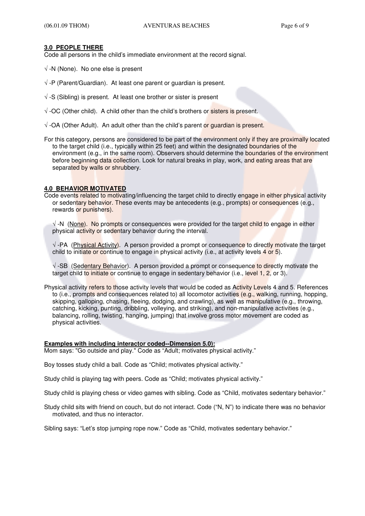#### **3.0 PEOPLE THERE**

Code all persons in the child's immediate environment at the record signal.

- $\sqrt{-N}$  (None). No one else is present
- $\sqrt{-P}$  (Parent/Guardian). At least one parent or guardian is present.
- √ -S (Sibling) is present. At least one brother or sister is present
- √ -OC (Other child). A child other than the child's brothers or sisters is present.
- $\sqrt{\phantom{a}}$  -OA (Other Adult). An adult other than the child's parent or quardian is present.
- For this category, persons are considered to be part of the environment only if they are proximally located to the target child (i.e., typically within 25 feet) and within the designated boundaries of the environment (e.g., in the same room). Observers should determine the boundaries of the environment before beginning data collection. Look for natural breaks in play, work, and eating areas that are separated by walls or shrubbery.

#### **4.0 BEHAVIOR MOTIVATED**

Code events related to motivating/influencing the target child to directly engage in either physical activity or sedentary behavior. These events may be antecedents (e.g., prompts) or consequences (e.g., rewards or punishers).

√ -N (None). No prompts or consequences were provided for the target child to engage in either physical activity or sedentary behavior during the interval.

 $\sqrt{\ }$ -PA (Physical Activity). A person provided a prompt or consequence to directly motivate the target child to initiate or continue to engage in physical activity (i.e., at activity levels 4 or 5).

√ -SB (Sedentary Behavior). A person provided a prompt or consequence to directly motivate the target child to initiate or continue to engage in sedentary behavior (i.e., level 1, 2, or 3).

Physical activity refers to those activity levels that would be coded as Activity Levels 4 and 5. References to (i.e., prompts and consequences related to) all locomotor activities (e.g., walking, running, hopping, skipping, galloping, chasing, fleeing, dodging, and crawling), as well as manipulative (e.g., throwing, catching, kicking, punting, dribbling, volleying, and striking), and non-manipulative activities (e.g., balancing, rolling, twisting, hanging, jumping) that involve gross motor movement are coded as physical activities.

#### **Examples with including interactor coded--Dimension 5.0):**

Mom says: "Go outside and play." Code as "Adult; motivates physical activity."

Boy tosses study child a ball. Code as "Child; motivates physical activity."

Study child is playing tag with peers. Code as "Child; motivates physical activity."

Study child is playing chess or video games with sibling. Code as "Child, motivates sedentary behavior."

Study child sits with friend on couch, but do not interact. Code ("N, N") to indicate there was no behavior motivated, and thus no interactor.

Sibling says: "Let's stop jumping rope now." Code as "Child, motivates sedentary behavior."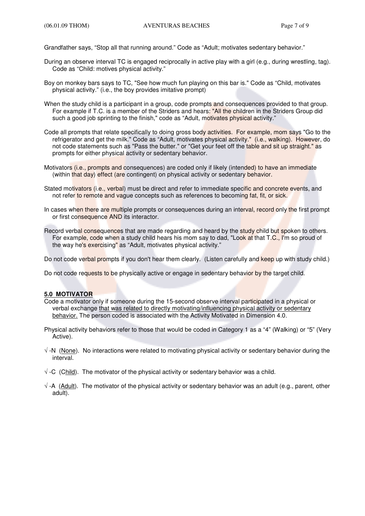Grandfather says, "Stop all that running around." Code as "Adult; motivates sedentary behavior."

- During an observe interval TC is engaged reciprocally in active play with a girl (e.g., during wrestling, tag). Code as "Child: motives physical activity."
- Boy on monkey bars says to TC, "See how much fun playing on this bar is." Code as "Child, motivates physical activity." (i.e., the boy provides imitative prompt)
- When the study child is a participant in a group, code prompts and consequences provided to that group. For example if T.C. is a member of the Striders and hears: "All the children in the Striders Group did such a good job sprinting to the finish," code as "Adult, motivates physical activity."
- Code all prompts that relate specifically to doing gross body activities. For example, mom says "Go to the refrigerator and get the milk." Code as "Adult, motivates physical activity." (i.e., walking). However, do not code statements such as "Pass the butter." or "Get your feet off the table and sit up straight." as prompts for either physical activity or sedentary behavior.
- Motivators (i.e., prompts and consequences) are coded only if likely (intended) to have an immediate (within that day) effect (are contingent) on physical activity or sedentary behavior.
- Stated motivators (i.e., verbal) must be direct and refer to immediate specific and concrete events, and not refer to remote and vague concepts such as references to becoming fat, fit, or sick.
- In cases when there are multiple prompts or consequences during an interval, record only the first prompt or first consequence AND its interactor.
- Record verbal consequences that are made regarding and heard by the study child but spoken to others. For example, code when a study child hears his mom say to dad, "Look at that T.C., I'm so proud of the way he's exercising" as "Adult, motivates physical activity."

Do not code verbal prompts if you don't hear them clearly. (Listen carefully and keep up with study child.)

Do not code requests to be physically active or engage in sedentary behavior by the target child.

#### **5.0 MOTIVATOR**

- Code a motivator only if someone during the 15-second observe interval participated in a physical or verbal exchange that was related to directly motivating/influencing physical activity or sedentary behavior. The person coded is associated with the Activity Motivated in Dimension 4.0.
- Physical activity behaviors refer to those that would be coded in Category 1 as a "4" (Walking) or "5" (Very Active).
- √ -N (None). No interactions were related to motivating physical activity or sedentary behavior during the interval.
- $\sqrt{2}$  -C (Child). The motivator of the physical activity or sedentary behavior was a child.
- √ -A (Adult). The motivator of the physical activity or sedentary behavior was an adult (e.g., parent, other adult).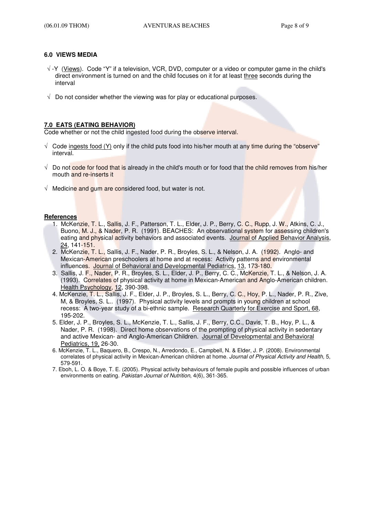#### **6.0 VIEWS MEDIA**

- √ -Y (Views). Code "Y" if a television, VCR, DVD, computer or a video or computer game in the child's direct environment is turned on and the child focuses on it for at least three seconds during the interval
- $\sqrt{\phantom{a}}$  Do not consider whether the viewing was for play or educational purposes.

#### **7.0 EATS (EATING BEHAVIOR)**

Code whether or not the child ingested food during the observe interval.

- $\sqrt{\phantom{a}}$  Code ingests food (Y) only if the child puts food into his/her mouth at any time during the "observe" interval.
- $\sqrt{ }$  Do not code for food that is already in the child's mouth or for food that the child removes from his/her mouth and re-inserts it
- √ Medicine and gum are considered food, but water is not.

#### **References**

- 1. McKenzie, T. L., Sallis, J. F., Patterson, T. L., Elder, J. P., Berry, C. C., Rupp, J. W., Atkins, C. J., Buono, M. J., & Nader, P. R. (1991). BEACHES: An observational system for assessing children's eating and physical activity behaviors and associated events. Journal of Applied Behavior Analysis, 24, 141-151.
- 2. McKenzie, T. L., Sallis, J. F., Nader, P. R., Broyles, S. L., & Nelson, J. A. (1992). Anglo- and Mexican-American preschoolers at home and at recess: Activity patterns and environmental influences. Journal of Behavioral and Developmental Pediatrics, 13, 173-180.
- 3. Sallis, J. F., Nader, P. R., Broyles, S. L., Elder, J. P., Berry, C. C., McKenzie, T. L., & Nelson, J. A. (1993). Correlates of physical activity at home in Mexican-American and Anglo-American children. Health Psychology, 12, 390-398.
- 4. McKenzie, T. L., Sallis, J. F., Elder, J. P., Broyles, S. L., Berry, C. C., Hoy, P. L., Nader, P. R., Zive, M, & Broyles, S. L.. (1997). Physical activity levels and prompts in young children at school recess: A two-year study of a bi-ethnic sample. Research Quarterly for Exercise and Sport, 68, 195-202.
- 5. Elder, J. P., Broyles, S. L., McKenzie, T. L., Sallis, J. F., Berry, C.C., Davis, T. B., Hoy, P. L., & Nader, P. R. (1998). Direct home observations of the prompting of physical activity in sedentary and active Mexican- and Anglo-American Children. Journal of Developmental and Behavioral Pediatrics, 19, 26-30.
- 6. McKenzie, T. L., Baquero, B., Crespo, N., Arredondo, E., Campbell, N. & Elder, J. P. (2008). Environmental correlates of physical activity in Mexican-American children at home. Journal of Physical Activity and Health, 5, 579-591.
- 7. Eboh, L. O. & Boye, T. E. (2005). Physical activity behaviours of female pupils and possible influences of urban environments on eating. Pakistan Journal of Nutrition, 4(6), 361-365.